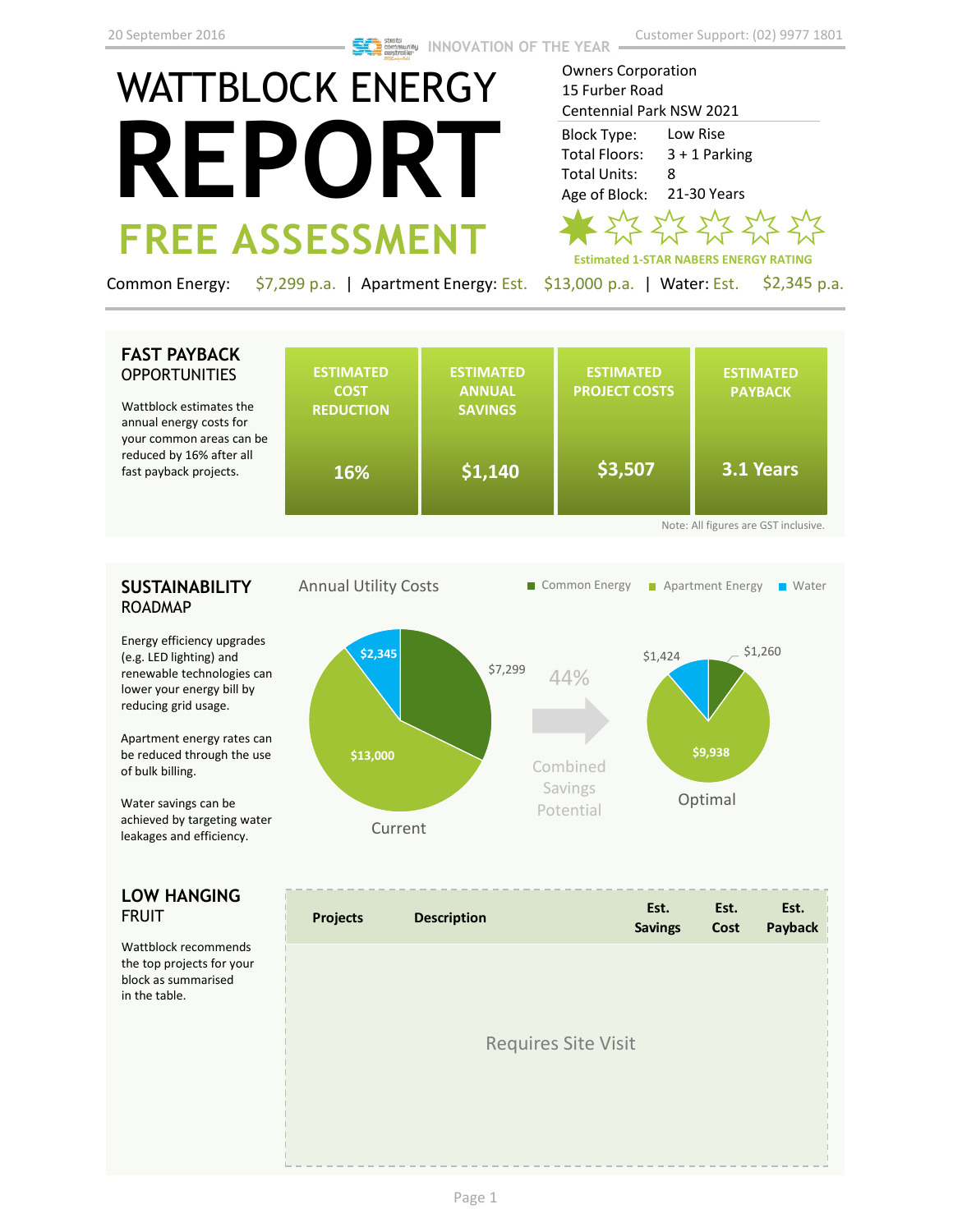# WATTBLOCK ENERGY **REPORT FREE ASSESSMENT**

Owners Corporation 15 Furber Road Centennial Park NSW 2021 Low Rise 3 + 1 Parking 8 21-30 Years Block Type: Total Floors: Total Units: Age of Block:



Common Energy: \$7,299 p.a. | Apartment Energy: Est. \$13,000 p.a. | Water: Est. \$2,345 p.a.

### **FAST PAYBACK OPPORTUNITIES**

Wattblock estimates the annual energy costs for your common areas can be reduced by 16% after all fast payback projects.

| <b>ESTIMATED</b><br><b>COST</b><br><b>REDUCTION</b> | <b>ESTIMATED</b><br><b>ANNUAL</b><br><b>SAVINGS</b> | <b>ESTIMATED</b><br><b>PROJECT COSTS</b> | <b>ESTIMATED</b><br><b>PAYBACK</b> |
|-----------------------------------------------------|-----------------------------------------------------|------------------------------------------|------------------------------------|
| e<br>16%                                            | \$1,140                                             | \$3,507                                  | 3.1 Years                          |

## **SUSTAINABILITY** ROADMAP

Energy efficiency upgrades (e.g. LED lighting) and renewable technologies can lower your energy bill by reducing grid usage.

Apartment energy rates can be reduced through the use of bulk billing.

Water savings can be achieved by targeting water leakages and efficiency.

### **LOW HANGING**  FRUIT

Wattblock recommends the top projects for your block as summarised in the table.